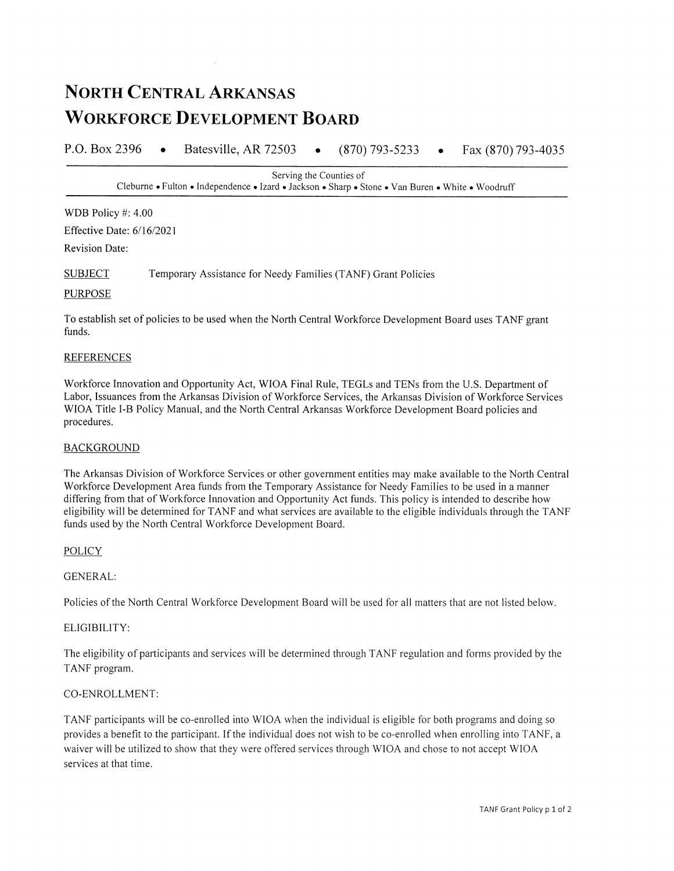# **NORTH CENTRAL ARKANSAS WORKFORCE DEVELOPMENT BOARD**

P.O. Box 2396 Batesville, AR 72503  $\bullet$  $(870)$  793-5233 Fax (870) 793-4035

> Serving the Counties of Cleburne • Fulton • Independence • Izard • Jackson • Sharp • Stone • Van Buren • White • Woodruff

WDB Policy #: 4.00

Effective Date: 6/16/2021

**Revision Date:** 

**SUBJECT** Temporary Assistance for Needy Families (TANF) Grant Policies

#### **PURPOSE**

To establish set of policies to be used when the North Central Workforce Development Board uses TANF grant funds.

#### **REFERENCES**

Workforce Innovation and Opportunity Act, WIOA Final Rule, TEGLs and TENs from the U.S. Department of Labor, Issuances from the Arkansas Division of Workforce Services, the Arkansas Division of Workforce Services WIOA Title I-B Policy Manual, and the North Central Arkansas Workforce Development Board policies and procedures.

# **BACKGROUND**

The Arkansas Division of Workforce Services or other government entities may make available to the North Central Workforce Development Area funds from the Temporary Assistance for Needy Families to be used in a manner differing from that of Workforce Innovation and Opportunity Act funds. This policy is intended to describe how eligibility will be determined for TANF and what services are available to the eligible individuals through the TANF funds used by the North Central Workforce Development Board.

# **POLICY**

# **GENERAL:**

Policies of the North Central Workforce Development Board will be used for all matters that are not listed below.

# ELIGIBILITY:

The eligibility of participants and services will be determined through TANF regulation and forms provided by the TANF program.

# CO-ENROLLMENT:

TANF participants will be co-enrolled into WIOA when the individual is eligible for both programs and doing so provides a benefit to the participant. If the individual does not wish to be co-enrolled when enrolling into TANF, a waiver will be utilized to show that they were offered services through WIOA and chose to not accept WIOA services at that time.